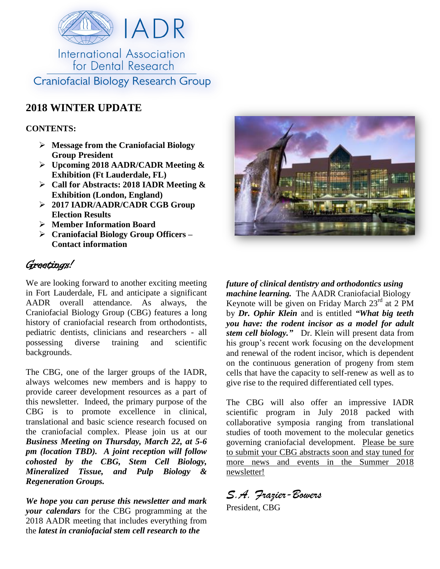

## **2018 WINTER UPDATE**

## **CONTENTS:**

- **Message from the Craniofacial Biology Group President**
- **Upcoming 2018 AADR/CADR Meeting & Exhibition (Ft Lauderdale, FL)**
- **Call for Abstracts: 2018 IADR Meeting & Exhibition (London, England)**
- **2017 IADR/AADR/CADR CGB Group Election Results**
- **Member Information Board**
- **Craniofacial Biology Group Officers – Contact information**

## Greetings!

We are looking forward to another exciting meeting in Fort Lauderdale, FL and anticipate a significant AADR overall attendance. As always, the Craniofacial Biology Group (CBG) features a long history of craniofacial research from orthodontists, pediatric dentists, clinicians and researchers - all possessing diverse training and scientific backgrounds.

The CBG, one of the larger groups of the IADR, always welcomes new members and is happy to provide career development resources as a part of this newsletter. Indeed, the primary purpose of the CBG is to promote excellence in clinical, translational and basic science research focused on the craniofacial complex. Please join us at our *Business Meeting on Thursday, March 22, at 5-6 pm (location TBD). A joint reception will follow cohosted by the CBG, Stem Cell Biology, Mineralized Tissue, and Pulp Biology & Regeneration Groups.* 

*We hope you can peruse this newsletter and mark your calendars* for the CBG programming at the 2018 AADR meeting that includes everything from the *latest in craniofacial stem cell research to the* 



*future of clinical dentistry and orthodontics using machine learning.* The AADR Craniofacial Biology Keynote will be given on Friday March  $23<sup>rd</sup>$  at 2 PM by *Dr. Ophir Klein* and is entitled *"What big teeth you have: the rodent incisor as a model for adult stem cell biology."* Dr. Klein will present data from his group's recent work focusing on the development and renewal of the rodent incisor, which is dependent on the continuous generation of progeny from stem cells that have the capacity to self-renew as well as to give rise to the required differentiated cell types.

The CBG will also offer an impressive IADR scientific program in July 2018 packed with collaborative symposia ranging from translational studies of tooth movement to the molecular genetics governing craniofacial development. Please be sure to submit your CBG abstracts soon and stay tuned for more news and events in the Summer 2018 newsletter!

*S.A. Frazier-Bowers* 

President, CBG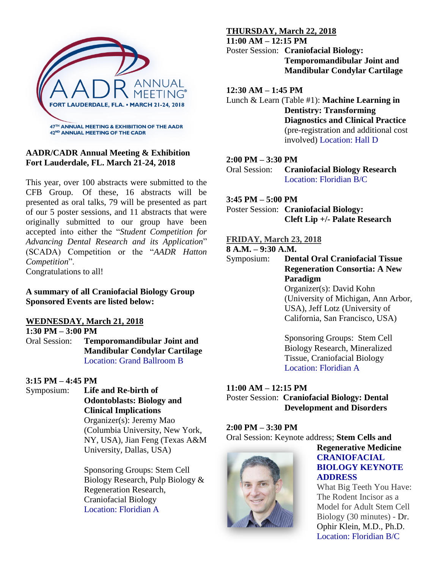

## **AADR/CADR Annual Meeting & Exhibition Fort Lauderdale, FL. March 21-24, 2018**

This year, over 100 abstracts were submitted to the CFB Group. Of these, 16 abstracts will be presented as oral talks, 79 will be presented as part of our 5 poster sessions, and 11 abstracts that were originally submitted to our group have been accepted into either the "*Student Competition for Advancing Dental Research and its Application*" (SCADA) Competition or the "*AADR Hatton Competition*". Congratulations to all!

**A summary of all Craniofacial Biology Group Sponsored Events are listed below:**

### **WEDNESDAY, March 21, 2018**

**1:30 PM – 3:00 PM**

Oral Session: **Temporomandibular Joint and Mandibular Condylar Cartilage** Location: Grand Ballroom B

#### **3:15 PM – 4:45 PM**

Symposium: **Life and Re-birth of Odontoblasts: Biology and Clinical Implications** Organizer(s): Jeremy Mao (Columbia University, New York, NY, USA), Jian Feng (Texas A&M University, Dallas, USA)

> Sponsoring Groups: Stem Cell Biology Research, Pulp Biology & Regeneration Research, Craniofacial Biology Location: Floridian A

## **THURSDAY, March 22, 2018**

**11:00 AM – 12:15 PM**

Poster Session: **Craniofacial Biology: Temporomandibular Joint and Mandibular Condylar Cartilage**

## **12:30 AM – 1:45 PM**

Lunch & Learn (Table #1): **Machine Learning in Dentistry: Transforming Diagnostics and Clinical Practice**  (pre-registration and additional cost involved) Location: Hall D

## **2:00 PM – 3:30 PM**

Oral Session: **Craniofacial Biology Research** Location: Floridian B/C

## **3:45 PM – 5:00 PM**

Poster Session: **Craniofacial Biology: Cleft Lip +/- Palate Research**

## **FRIDAY, March 23, 2018**

## **8 A.M. – 9:30 A.M.**

Symposium: **Dental Oral Craniofacial Tissue Regeneration Consortia: A New Paradigm** Organizer(s): David Kohn (University of Michigan, Ann Arbor,

USA), Jeff Lotz (University of California, San Francisco, USA)

Sponsoring Groups: Stem Cell Biology Research, Mineralized Tissue, Craniofacial Biology Location: Floridian A

## **11:00 AM – 12:15 PM**

Poster Session: **Craniofacial Biology: Dental Development and Disorders**

## **2:00 PM – 3:30 PM**

Oral Session: Keynote address; **Stem Cells and** 



## **Regenerative Medicine CRANIOFACIAL BIOLOGY KEYNOTE ADDRESS**

What Big Teeth You Have: The Rodent Incisor as a Model for Adult Stem Cell Biology (30 minutes) - Dr. Ophir Klein, M.D., Ph.D. Location: Floridian B/C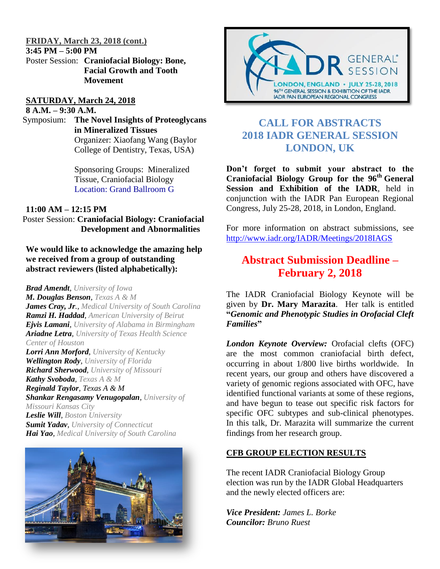#### **FRIDAY, March 23, 2018 (cont.)**

**3:45 PM – 5:00 PM**

Poster Session: **Craniofacial Biology: Bone, Facial Growth and Tooth Movement**

#### **SATURDAY, March 24, 2018**

**8 A.M. – 9:30 A.M.**

Symposium: **The Novel Insights of Proteoglycans in Mineralized Tissues** Organizer: Xiaofang Wang (Baylor College of Dentistry, Texas, USA)

> Sponsoring Groups: Mineralized Tissue, Craniofacial Biology Location: Grand Ballroom G

## **11:00 AM – 12:15 PM**

Poster Session: **Craniofacial Biology: Craniofacial Development and Abnormalities**

**We would like to acknowledge the amazing help we received from a group of outstanding abstract reviewers (listed alphabetically):** 

*Brad Amendt, University of Iowa M. Douglas Benson, Texas A & M James Cray, Jr., Medical University of South Carolina Ramzi H. Haddad, American University of Beirut Ejvis Lamani, University of Alabama in Birmingham Ariadne Letra, University of Texas Health Science Center of Houston*

*Lorri Ann Morford, University of Kentucky Wellington Rody, University of Florida Richard Sherwood, University of Missouri Kathy Svoboda, Texas A & M Reginald Taylor, Texas A & M Shankar Rengasamy Venugopalan, University of Missouri Kansas City*

*Leslie Will, Boston University Sumit Yadav, University of Connecticut Hai Yao, Medical University of South Carolina*





## **CALL FOR ABSTRACTS 2018 IADR GENERAL SESSION LONDON, UK**

**Don't forget to submit your abstract to the Craniofacial Biology Group for the 96th General Session and Exhibition of the IADR**, held in conjunction with the IADR Pan European Regional Congress, July 25-28, 2018, in London, England.

For more information on abstract submissions, see <http://www.iadr.org/IADR/Meetings/2018IAGS>

## **Abstract Submission Deadline – February 2, 2018**

The IADR Craniofacial Biology Keynote will be given by **Dr. Mary Marazita**. Her talk is entitled **"***Genomic and Phenotypic Studies in Orofacial Cleft Families***"**

*London Keynote Overview:* Orofacial clefts (OFC) are the most common craniofacial birth defect, occurring in about 1/800 live births worldwide. In recent years, our group and others have discovered a variety of genomic regions associated with OFC, have identified functional variants at some of these regions, and have begun to tease out specific risk factors for specific OFC subtypes and sub-clinical phenotypes. In this talk, Dr. Marazita will summarize the current findings from her research group.

## **CFB GROUP ELECTION RESULTS**

The recent IADR Craniofacial Biology Group election was run by the IADR Global Headquarters and the newly elected officers are:

*Vice President: James L. Borke Councilor: Bruno Ruest*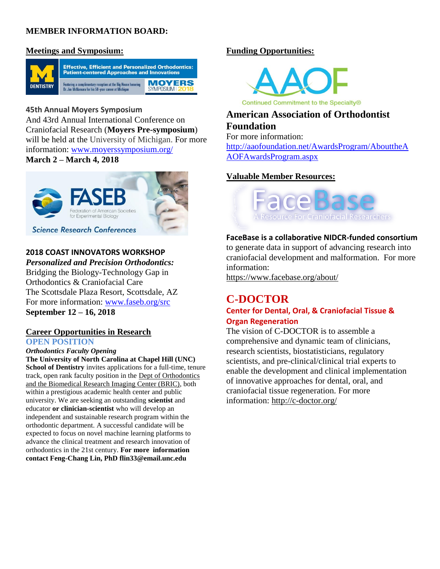## **MEMBER INFORMATION BOARD:**

## **Meetings and Symposium:**



**45th Annual Moyers Symposium** And 43rd Annual International Conference on Craniofacial Research (**Moyers Pre-symposium**) will be held at the University of Michigan. For more information: [www.moyerssymposium.org/](http://www.moyerssymposium.org/) **March 2 – March 4, 2018**

# for Experimental Biology **Science Research Conferences**

## **2018 COAST INNOVATORS WORKSHOP**

*Personalized and Precision Orthodontics:*  Bridging the Biology-Technology Gap in

Orthodontics & Craniofacial Care The Scottsdale Plaza Resort, Scottsdale, AZ For more information: [www.faseb.org/src](http://www.faseb.org/src) **September 12 – 16, 2018**

## **Career Opportunities in Research OPEN POSITION**

*Orthodontics Faculty Opening* 

**The University of North Carolina at Chapel Hill (UNC) School of Dentistry** invites applications for a full-time, tenure track, open rank faculty position in the Dept of Orthodontics and the Biomedical Research Imaging Center (BRIC), both within a prestigious academic health center and public university. We are seeking an outstanding **scientist** and educator **or clinician-scientist** who will develop an independent and sustainable research program within the orthodontic department. A successful candidate will be expected to focus on novel machine learning platforms to advance the clinical treatment and research innovation of orthodontics in the 21st century. **For more information contact Feng-Chang Lin, PhD flin33@email.unc.edu**

## **Funding Opportunities:**



Continued Commitment to the Specialty®

## **American Association of Orthodontist Foundation**

For more information:

[http://aaofoundation.net/AwardsProgram/AbouttheA](http://aaofoundation.net/AwardsProgram/AbouttheAAOFAwardsProgram.aspx) [AOFAwardsProgram.aspx](http://aaofoundation.net/AwardsProgram/AbouttheAAOFAwardsProgram.aspx)

## **Valuable Member Resources:**



## **FaceBase is a collaborative NIDCR-funded consortium**

to generate data in support of advancing research into craniofacial development and malformation. For more information:

<https://www.facebase.org/about/>

# **C-DOCTOR**

## **Center for Dental, Oral, & Craniofacial Tissue & Organ Regeneration**

The vision of C-DOCTOR is to assemble a comprehensive and dynamic team of clinicians, research scientists, biostatisticians, regulatory scientists, and pre-clinical/clinical trial experts to enable the development and clinical implementation of innovative approaches for dental, oral, and craniofacial tissue regeneration. For more information:<http://c-doctor.org/>